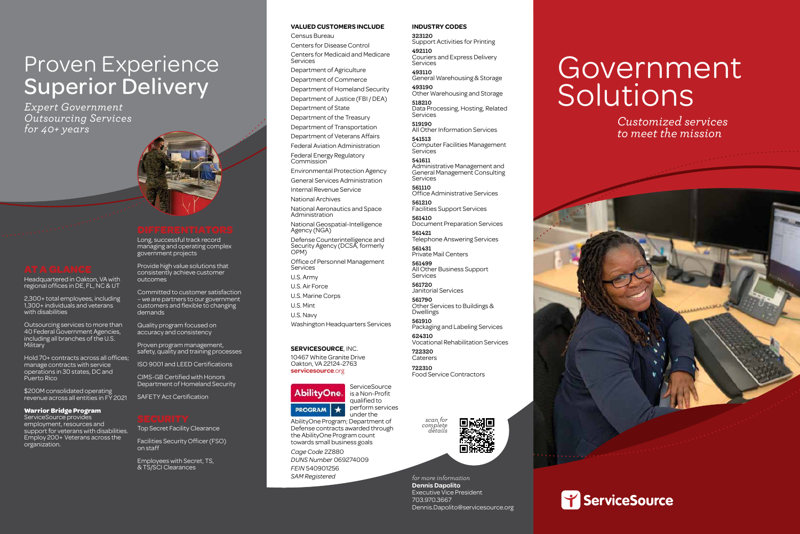Headquartered in Oakton, VA with regional offices in DE, FL, NC & UT

2,300+ total employees, including 1,300+ individuals and veterans with disabilities

Outsourcing services to more than 40 Federal Government Agencies, including all branches of the U.S. Military

Hold 70+ contracts across all offices; manage contracts with service operations in 30 states, DC and Puerto Rico

\$200M consolidated operating revenue across all entities in FY 2021

#### **Warrior Bridge Program**

ServiceSource provides employment, resources and support for veterans with disabilities. Employ 200+ Veterans across the organization.

Long, successful track record managing and operating complex government projects

Provide high value solutions that consistently achieve customer outcomes

Committed to customer satisfaction – we are partners to our government customers and flexible to changing demands

Quality program focused on accuracy and consistency

Census Bureau Centers for Disease Control Centers for Medicaid and Medicare **Services** 

Proven program management, safety, quality and training processes

ISO 9001 and LEED Certifications

CIMS-GB Certified with Honors Department of Homeland Security

SAFETY Act Certification

Top Secret Facility Clearance

Facilities Security Officer (FSO) on staff

Employees with Secret, TS, & TS/SCI Clearances

## Proven Experience Superior Delivery

*Expert Government Outsourcing Services for 40+ years*



# Government Solutions





*Customized services to meet the mission*



**518210** Data Processing, Hosting, Related **Services** 

*for more information* **Dennis Dapolito** Executive Vice President 703.970.3667 Dennis.Dapolito@servicesource.org

**541513**  Computer Facilities Management **Services** 

#### **SERVICESOURCE**, INC.

10467 White Granite Drive Oakton, VA 22124-2763 **servicesource**.org

AbilityOne. **PROGRAM**  $\star$ 

**561499** All Other Business Support **Services** 



AbilityOne Program; Department of Defense contracts awarded through the AbilityOne Program count towards small business goals

*Cage Code* 2Z880 *DUNS Number* 069274009 *FEIN* 540901256 *SAM Registered*

*scan for complete details* 



#### **VALUED CUSTOMERS INCLUDE**

Department of Agriculture Department of Commerce

Department of Homeland Security Department of Justice (FBI / DEA)

Department of State Department of the Treasury

Department of Transportation

Department of Veterans Affairs

Federal Aviation Administration Federal Energy Regulatory

Commission

Environmental Protection Agency General Services Administration

Internal Revenue Service

National Archives

National Aeronautics and Space Administration

National Geospatial-Intelligence Agency (NGA)

Defense Counterintelligence and Security Agency (DCSA, formerly OPM)

Office of Personnel Management Services

U.S. Army

U.S. Air Force

U.S. Marine Corps

U.S. Mint U.S. Navy

Washington Headquarters Services

#### **INDUSTRY CODES**

**323120** Support Activities for Printing **492110**

Couriers and Express Delivery Services

**493110** General Warehousing & Storage

**493190** Other Warehousing and Storage

**519190** All Other Information Services

**541611** Administrative Management and General Management Consulting Services

**561110** Office Administrative Services

**561210** Facilities Support Services

**561410** Document Preparation Services

**561421** Telephone Answering Services

**561431** Private Mail Centers

**561720** Janitorial Services

**561790** Other Services to Buildings & Dwellings

**561910** Packaging and Labeling Services

**624310** Vocational Rehabilitation Services

**722320** Caterers

**722310** Food Service Contractors